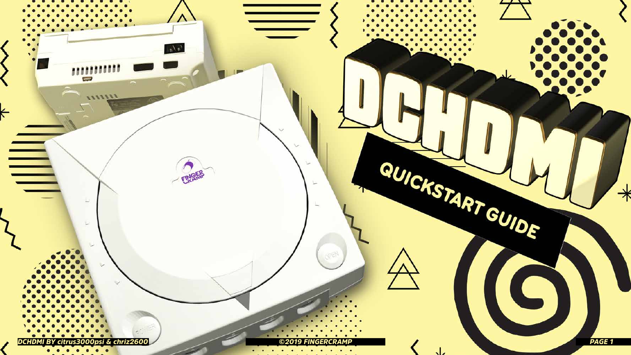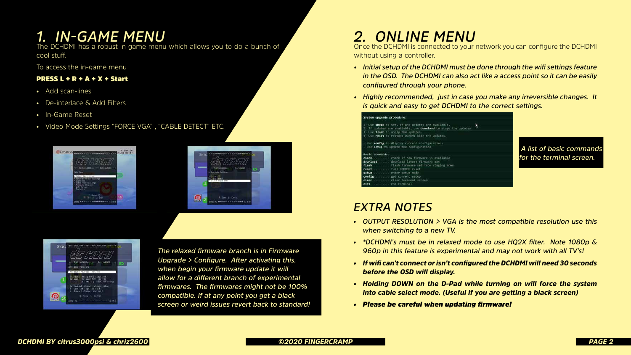## *1. IN-GAME MENU*

The DCHDMI has a robust in game menu which allows you to do a bunch of cool stuff.

To access the in-game menu

#### **PRESS L + R + A + X + Start**

- Add scan-lines
- De-interlace & Add Filters
- In-Game Reset
- Video Mode Settings "FORCE VGA" , "CABLE DETECT" ETC.



| Selec<br>ön.                                                                     |  |
|----------------------------------------------------------------------------------|--|
| <i>FINT</i><br>Ø<br>**** FLITTHSODOL **** BINISON ****<br>Wiles Robert Settlings |  |
| arre isa<br>ante reteri<br>Witch Trick Has<br>ı                                  |  |
| <b>Detect</b><br>Seet 1<br>1898 HD executives constructions of 8 8               |  |
|                                                                                  |  |



### *EXTRA NOTES*

*• OUTPUT RESOLUTION > VGA is the most compatible resolution use this* 

*• \*DCHDMI's must be in relaxed mode to use HQ2X filter. Note 1080p & 960p in this feature is experimental and may not work with all TV's!*

*• If wifi can't connect or isn't configured the DCHDMI will need 30 seconds* 

- *when switching to a new TV.*
- 
- *before the OSD will display.*
- 
- *• Please be careful when updating firmware!*

*• Holding DOWN on the D-Pad while turning on will force the system into cable select mode. (Useful if you are getting a black screen)*

*2. ONLINE MENU*

without using a controller.

# Once the DCHDMI is connected to your network you can configure the DCHDMI

*• Initial setup of the DCHDMI must be done through the wifi settings feature in the OSD. The DCHDMI can also act like a access point so it can be easily* 

- *configured through your phone.*
- 

#### System upgrade procedure:

config

Use check to see, if any updates are avai If updates are available, use download t Use flash to apply the updates. Use reset to restart OCHOMI with the up ise config to display current configurat

|                 | - Use setup to update the configuration. |
|-----------------|------------------------------------------|
| Basic commands: |                                          |
|                 | check  check if new firmware is availa   |
|                 | download  download latest firmware set   |
|                 | flash  flash firmuare set from staging   |
|                 | reset  full DCHOMI reset                 |
| <b>CATTIN</b>   | anti-anti-air rature mada.               |

get current setup clear terminal screen

*• Highly recommended, just in case you make any irreversible changes. It is quick and easy to get DCHDMI to the correct settings.*

| b1e.<br>tage the updates. |  |
|---------------------------|--|
| e                         |  |
|                           |  |
| ab1c                      |  |
| area                      |  |
|                           |  |
|                           |  |

*The relaxed firmware branch is in Firmware Upgrade > Configure. After activating this, when begin your firmware update it will allow for a different branch of experimental firmwares. The firmwares might not be 100% compatible. If at any point you get a black screen or weird issues revert back to standard!*

 *A list of basic commands for the terminal screen.*